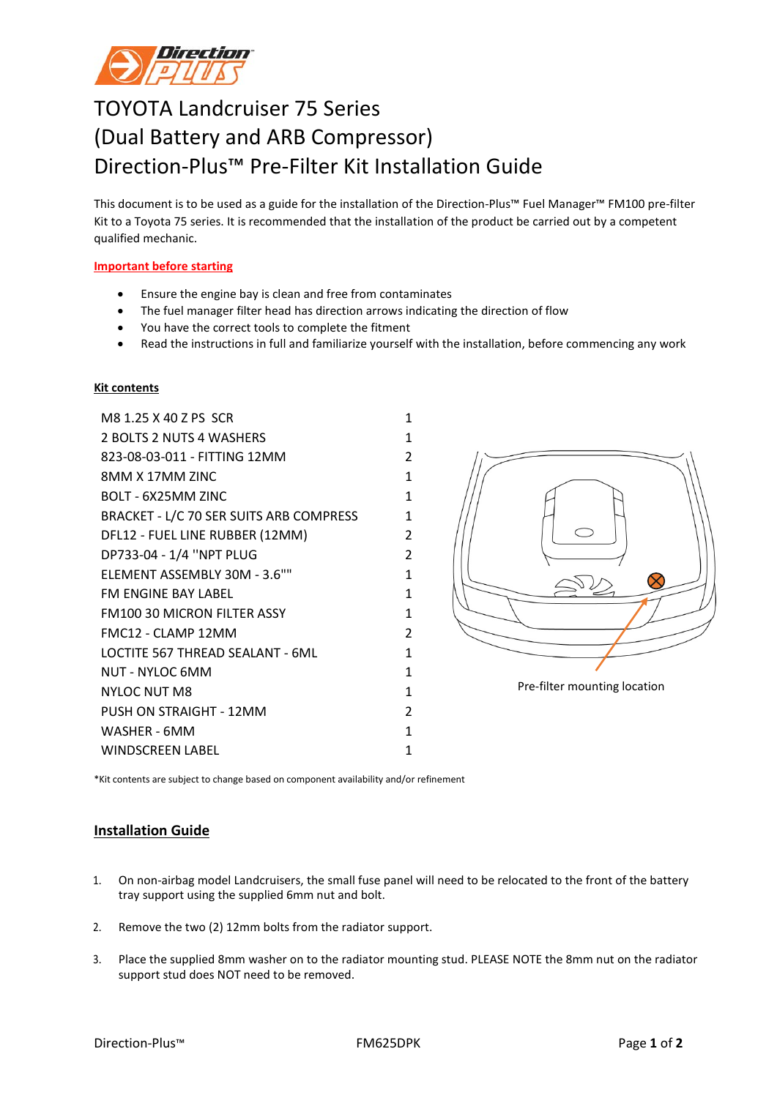

## TOYOTA Landcruiser 75 Series (Dual Battery and ARB Compressor) Direction-Plus™ Pre-Filter Kit Installation Guide

This document is to be used as a guide for the installation of the Direction-Plus™ Fuel Manager™ FM100 pre-filter Kit to a Toyota 75 series. It is recommended that the installation of the product be carried out by a competent qualified mechanic.

## **Important before starting**

- Ensure the engine bay is clean and free from contaminates
- The fuel manager filter head has direction arrows indicating the direction of flow
- You have the correct tools to complete the fitment
- Read the instructions in full and familiarize yourself with the installation, before commencing any work

## **Kit contents**

M8 1.25 X 40 Z PS SCR 1 2 BOLTS 2 NUTS 4 WASHERS 2 1 823-08-03-011 - FITTING 12MM 2 8MM X 17MM ZINC 1 BOLT - 6X25MM ZINC 1 BRACKET - L/C 70 SER SUITS ARB COMPRESS 1 DFL12 - FUEL LINE RUBBER (12MM) 2 DP733-04 - 1/4 ''NPT PLUG 2 ELEMENT ASSEMBLY 30M - 3.6"" 1 FM ENGINE BAY LABEL 1 FM100 30 MICRON FILTER ASSY 1 FMC12 - CLAMP 12MM 2 LOCTITE 567 THREAD SEALANT - 6ML 1 NUT - NYLOC 6MM 1 NYLOC NUT M8 1 PUSH ON STRAIGHT - 12MM WASHER - 6MM 1 WINDSCREEN LABEL 1



\*Kit contents are subject to change based on component availability and/or refinement

## **Installation Guide**

- 1. On non-airbag model Landcruisers, the small fuse panel will need to be relocated to the front of the battery tray support using the supplied 6mm nut and bolt.
- 2. Remove the two (2) 12mm bolts from the radiator support.
- 3. Place the supplied 8mm washer on to the radiator mounting stud. PLEASE NOTE the 8mm nut on the radiator support stud does NOT need to be removed.